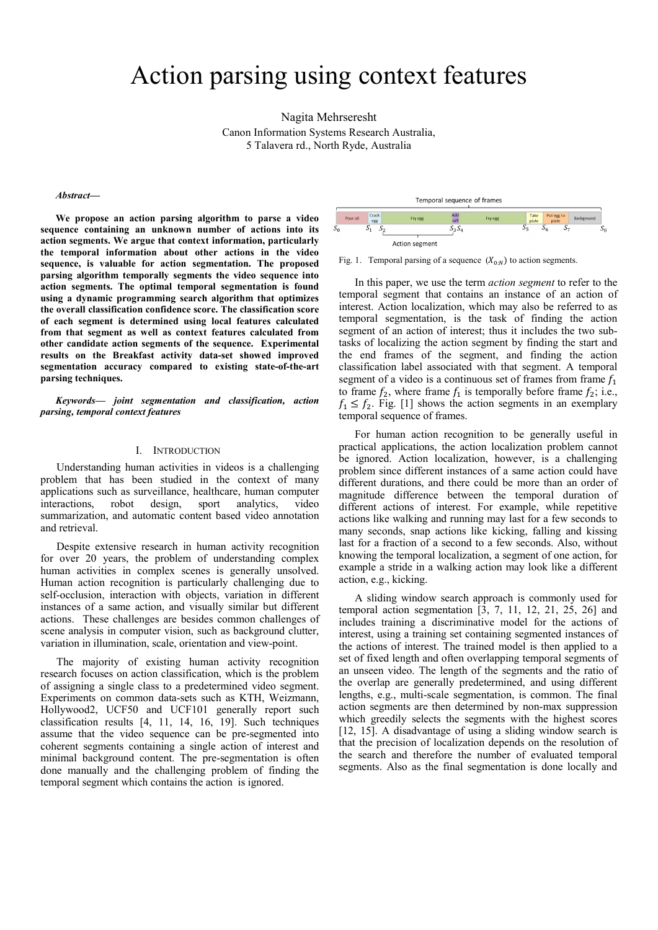# Action parsing using context features

Nagita Mehrseresht Canon Information Systems Research Australia, 5 Talavera rd., North Ryde, Australia

#### *Abstract***—**

**We propose an action parsing algorithm to parse a video sequence containing an unknown number of actions into its action segments. We argue that context information, particularly the temporal information about other actions in the video sequence, is valuable for action segmentation. The proposed parsing algorithm temporally segments the video sequence into action segments. The optimal temporal segmentation is found using a dynamic programming search algorithm that optimizes the overall classification confidence score. The classification score of each segment is determined using local features calculated from that segment as well as context features calculated from other candidate action segments of the sequence. Experimental results on the Breakfast activity data-set showed improved segmentation accuracy compared to existing state-of-the-art parsing techniques.** 

*Keywords— joint segmentation and classification, action parsing, temporal context features* 

#### I. INTRODUCTION

Understanding human activities in videos is a challenging problem that has been studied in the context of many applications such as surveillance, healthcare, human computer interactions, robot design, sport analytics, video summarization, and automatic content based video annotation and retrieval.

Despite extensive research in human activity recognition for over 20 years, the problem of understanding complex human activities in complex scenes is generally unsolved. Human action recognition is particularly challenging due to self-occlusion, interaction with objects, variation in different instances of a same action, and visually similar but different actions. These challenges are besides common challenges of scene analysis in computer vision, such as background clutter, variation in illumination, scale, orientation and view-point.

The majority of existing human activity recognition research focuses on action classification, which is the problem of assigning a single class to a predetermined video segment. Experiments on common data-sets such as KTH, Weizmann, Hollywood2, UCF50 and UCF101 generally report such classification results [4, 11, 14, 16, 19]. Such techniques assume that the video sequence can be pre-segmented into coherent segments containing a single action of interest and minimal background content. The pre-segmentation is often done manually and the challenging problem of finding the temporal segment which contains the action is ignored.



Fig. 1. Temporal parsing of a sequence  $(X_{0:N})$  to action segments.

In this paper, we use the term *action segment* to refer to the temporal segment that contains an instance of an action of interest. Action localization, which may also be referred to as temporal segmentation, is the task of finding the action segment of an action of interest; thus it includes the two subtasks of localizing the action segment by finding the start and the end frames of the segment, and finding the action classification label associated with that segment. A temporal segment of a video is a continuous set of frames from frame  $f_1$ to frame  $f_2$ , where frame  $f_1$  is temporally before frame  $f_2$ ; i.e.,  $f_1 \leq f_2$ . Fig. [1] shows the action segments in an exemplary temporal sequence of frames.

For human action recognition to be generally useful in practical applications, the action localization problem cannot be ignored. Action localization, however, is a challenging problem since different instances of a same action could have different durations, and there could be more than an order of magnitude difference between the temporal duration of different actions of interest. For example, while repetitive actions like walking and running may last for a few seconds to many seconds, snap actions like kicking, falling and kissing last for a fraction of a second to a few seconds. Also, without knowing the temporal localization, a segment of one action, for example a stride in a walking action may look like a different action, e.g., kicking.

A sliding window search approach is commonly used for temporal action segmentation [3, 7, 11, 12, 21, 25, 26] and includes training a discriminative model for the actions of interest, using a training set containing segmented instances of the actions of interest. The trained model is then applied to a set of fixed length and often overlapping temporal segments of an unseen video. The length of the segments and the ratio of the overlap are generally predetermined, and using different lengths, e.g., multi-scale segmentation, is common. The final action segments are then determined by non-max suppression which greedily selects the segments with the highest scores [12, 15]. A disadvantage of using a sliding window search is that the precision of localization depends on the resolution of the search and therefore the number of evaluated temporal segments. Also as the final segmentation is done locally and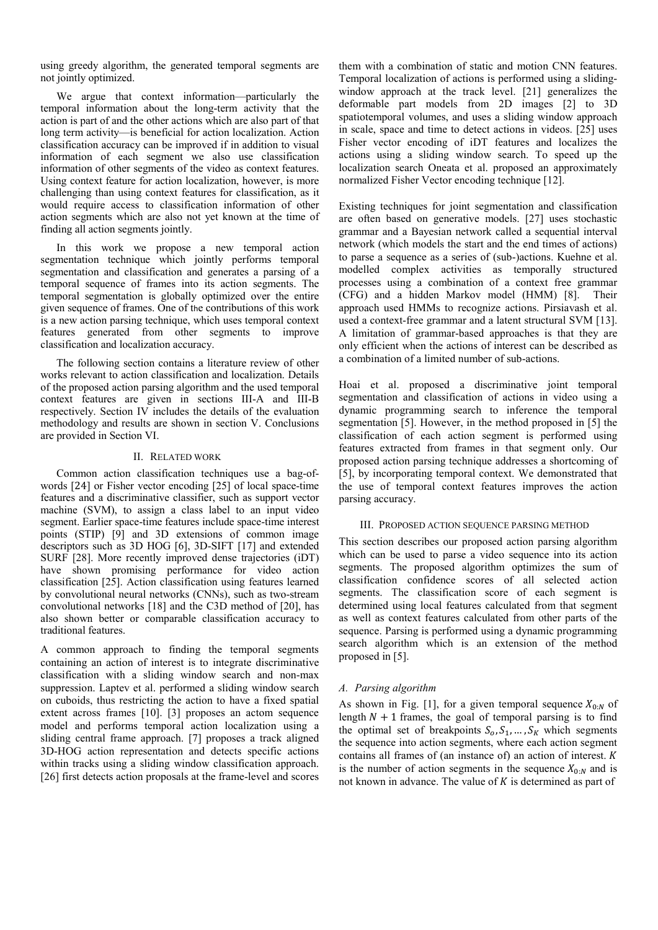using greedy algorithm, the generated temporal segments are not jointly optimized.

We argue that context information—particularly the temporal information about the long-term activity that the action is part of and the other actions which are also part of that long term activity—is beneficial for action localization. Action classification accuracy can be improved if in addition to visual information of each segment we also use classification information of other segments of the video as context features. Using context feature for action localization, however, is more challenging than using context features for classification, as it would require access to classification information of other action segments which are also not yet known at the time of finding all action segments jointly.

In this work we propose a new temporal action segmentation technique which jointly performs temporal segmentation and classification and generates a parsing of a temporal sequence of frames into its action segments. The temporal segmentation is globally optimized over the entire given sequence of frames. One of the contributions of this work is a new action parsing technique, which uses temporal context features generated from other segments to improve classification and localization accuracy.

The following section contains a literature review of other works relevant to action classification and localization. Details of the proposed action parsing algorithm and the used temporal context features are given in sections III-A and III-B respectively. Section IV includes the details of the evaluation methodology and results are shown in section V. Conclusions are provided in Section VI.

# II. RELATED WORK

Common action classification techniques use a bag-ofwords [24] or Fisher vector encoding [25] of local space-time features and a discriminative classifier, such as support vector machine (SVM), to assign a class label to an input video segment. Earlier space-time features include space-time interest points (STIP) [9] and 3D extensions of common image descriptors such as 3D HOG [6], 3D-SIFT [17] and extended SURF [28]. More recently improved dense trajectories (iDT) have shown promising performance for video action classification [25]. Action classification using features learned by convolutional neural networks (CNNs), such as two-stream convolutional networks [18] and the C3D method of [20], has also shown better or comparable classification accuracy to traditional features.

A common approach to finding the temporal segments containing an action of interest is to integrate discriminative classification with a sliding window search and non-max suppression. Laptev et al. performed a sliding window search on cuboids, thus restricting the action to have a fixed spatial extent across frames [10]. [3] proposes an actom sequence model and performs temporal action localization using a sliding central frame approach. [7] proposes a track aligned 3D-HOG action representation and detects specific actions within tracks using a sliding window classification approach. [26] first detects action proposals at the frame-level and scores

them with a combination of static and motion CNN features. Temporal localization of actions is performed using a slidingwindow approach at the track level. [21] generalizes the deformable part models from 2D images [2] to 3D spatiotemporal volumes, and uses a sliding window approach in scale, space and time to detect actions in videos. [25] uses Fisher vector encoding of iDT features and localizes the actions using a sliding window search. To speed up the localization search Oneata et al. proposed an approximately normalized Fisher Vector encoding technique [12].

Existing techniques for joint segmentation and classification are often based on generative models. [27] uses stochastic grammar and a Bayesian network called a sequential interval network (which models the start and the end times of actions) to parse a sequence as a series of (sub-)actions. Kuehne et al. modelled complex activities as temporally structured processes using a combination of a context free grammar (CFG) and a hidden Markov model (HMM) [8]. Their approach used HMMs to recognize actions. Pirsiavash et al. used a context-free grammar and a latent structural SVM [13]. A limitation of grammar-based approaches is that they are only efficient when the actions of interest can be described as a combination of a limited number of sub-actions.

Hoai et al. proposed a discriminative joint temporal segmentation and classification of actions in video using a dynamic programming search to inference the temporal segmentation [5]. However, in the method proposed in [5] the classification of each action segment is performed using features extracted from frames in that segment only. Our proposed action parsing technique addresses a shortcoming of [5], by incorporating temporal context. We demonstrated that the use of temporal context features improves the action parsing accuracy.

# III. PROPOSED ACTION SEQUENCE PARSING METHOD

This section describes our proposed action parsing algorithm which can be used to parse a video sequence into its action segments. The proposed algorithm optimizes the sum of classification confidence scores of all selected action segments. The classification score of each segment is determined using local features calculated from that segment as well as context features calculated from other parts of the sequence. Parsing is performed using a dynamic programming search algorithm which is an extension of the method proposed in [5].

# *A. Parsing algorithm*

As shown in Fig. [1], for a given temporal sequence  $X_{0:N}$  of length  $N + 1$  frames, the goal of temporal parsing is to find the optimal set of breakpoints  $S_0, S_1, \ldots, S_K$  which segments the sequence into action segments, where each action segment contains all frames of (an instance of) an action of interest.  $K$ is the number of action segments in the sequence  $X_{0:N}$  and is not known in advance. The value of  $K$  is determined as part of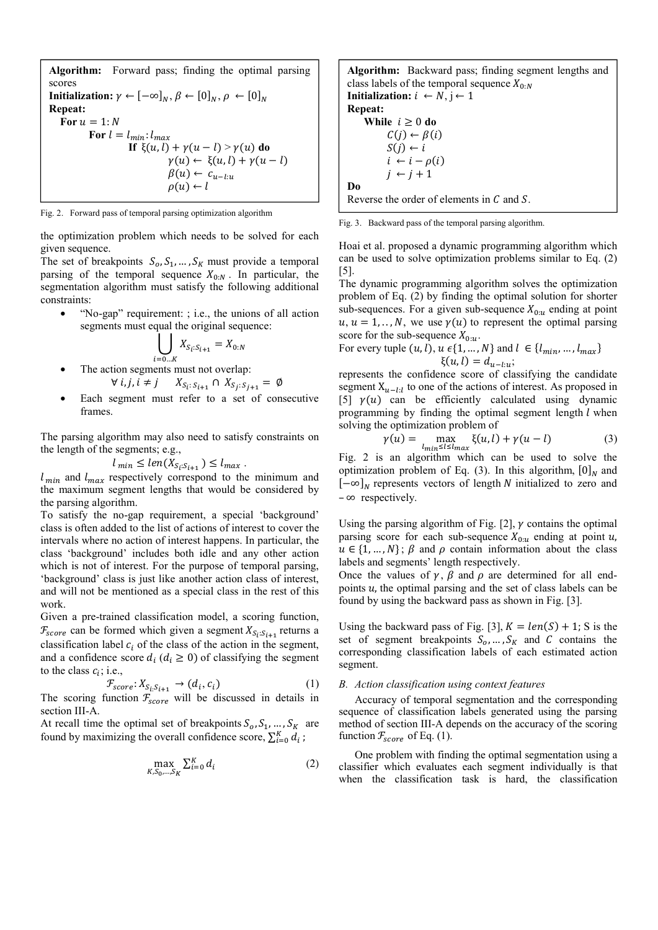**Algorithm:** Forward pass; finding the optimal parsing scores **Initialization:**  $\gamma \leftarrow [-\infty]_N$ ,  $\beta \leftarrow [0]_N$ ,  $\rho \leftarrow [0]_N$ **Repeat:**  For  $u = 1: N$ **For**  $l = l_{min}: l_{max}$ **do if**  $\xi(u, l) + \gamma(u - l) > \gamma(u)$  **do**  $\gamma(u) \leftarrow \xi(u, l) + \gamma(u - l)$  $\beta(u) \leftarrow c_{u-l:u}$  $\rho(u) \leftarrow l$ 

Fig. 2. Forward pass of temporal parsing optimization algorithm

the optimization problem which needs to be solved for each given sequence.

The set of breakpoints  $S_0, S_1, \ldots, S_K$  must provide a temporal parsing of the temporal sequence  $X_{0,N}$ . In particular, the segmentation algorithm must satisfy the following additional constraints:

• "No-gap" requirement: ; i.e., the unions of all action segments must equal the original sequence:

$$
\bigcup_{i=0...K} X_{S_i:S_{i+1}} = X_{0:N}
$$

- The action segments must not overlap:  $\forall i, j, i \neq j$   $X_{S_i: S_{i+1}} \cap X_{S_j: S_{j+1}} = \emptyset$
- Each segment must refer to a set of consecutive frames.

The parsing algorithm may also need to satisfy constraints on the length of the segments; e.g.,

$$
l_{min} \leq len(X_{S_i:S_{i+1}}) \leq l_{max}.
$$

 $l_{min}$  and  $l_{max}$  respectively correspond to the minimum and the maximum segment lengths that would be considered by the parsing algorithm.

To satisfy the no-gap requirement, a special 'background' class is often added to the list of actions of interest to cover the intervals where no action of interest happens. In particular, the class 'background' includes both idle and any other action which is not of interest. For the purpose of temporal parsing, 'background' class is just like another action class of interest, and will not be mentioned as a special class in the rest of this work.

Given a pre-trained classification model, a scoring function,  $\mathcal{F}_{score}$  can be formed which given a segment  $X_{S_i:S_{i+1}}$  returns a classification label  $c_i$  of the class of the action in the segment, and a confidence score  $d_i$  ( $d_i \ge 0$ ) of classifying the segment to the class  $c_i$ ; i.e.,

$$
\mathcal{F}_{score}: X_{S_i, S_{i+1}} \to (d_i, c_i)
$$
 (1)

The scoring function  $\mathcal{F}_{score}$  will be discussed in details in section III-A.

At recall time the optimal set of breakpoints  $S_o$ ,  $S_1$ , ...,  $S_K$  are found by maximizing the overall confidence score,  $\sum_{i=0}^{K} d_i$ ;

$$
\max_{K,S_0,\ldots,S_K} \sum_{i=0}^K d_i \tag{2}
$$

**Algorithm:** Backward pass; finding segment lengths and class labels of the temporal sequence  $X_{0:N}$ **Initialization:**  $i \leftarrow N, j \leftarrow 1$ **Repeat: While**  $i ≥ 0$  **do**  $C(j) \leftarrow \beta(i)$  $S(j) \leftarrow i$  $i \leftarrow i - \rho(i)$  $i \leftarrow j + 1$ **Do**  Reverse the order of elements in  $C$  and  $S$ .

Fig. 3. Backward pass of the temporal parsing algorithm.

Hoai et al. proposed a dynamic programming algorithm which can be used to solve optimization problems similar to Eq. (2) [5].

The dynamic programming algorithm solves the optimization problem of Eq. (2) by finding the optimal solution for shorter sub-sequences. For a given sub-sequence  $X_{0:u}$  ending at point  $u, u = 1, \ldots, N$ , we use  $\gamma(u)$  to represent the optimal parsing score for the sub-sequence  $X_{0:u}$ .

For every tuple  $(u, l)$ ,  $u \in \{1, ..., N\}$  and  $l \in \{l_{min}, ..., l_{max}\}$ ξ(*u*, *l*) =  $d_{u-l:u}$ ;

represents the confidence score of classifying the candidate segment  $X_{u-l}$  to one of the actions of interest. As proposed in [5]  $\gamma(u)$  can be efficiently calculated using dynamic programming by finding the optimal segment length  $l$  when solving the optimization problem of

$$
\gamma(u) = \max_{l_{min} \le l \le l_{max}} \xi(u, l) + \gamma(u - l) \tag{3}
$$

Fig. 2 is an algorithm which can be used to solve the optimization problem of Eq. (3). In this algorithm,  $[0]_N$  and ሾ−∞ሿே represents vectors of length ܰ initialized to zero and  $-\infty$  respectively.

Using the parsing algorithm of Fig. [2],  $\gamma$  contains the optimal parsing score for each sub-sequence  $X_{0:u}$  ending at point u,  $u \in \{1, ..., N\}$ ;  $\beta$  and  $\rho$  contain information about the class labels and segments' length respectively.

Once the values of  $\gamma$ ,  $\beta$  and  $\rho$  are determined for all endpoints  $u$ , the optimal parsing and the set of class labels can be found by using the backward pass as shown in Fig. [3].

Using the backward pass of Fig. [3],  $K = len(S) + 1$ ; S is the set of segment breakpoints  $S_0, \ldots, S_K$  and C contains the corresponding classification labels of each estimated action segment.

# *B. Action classification using context features*

Accuracy of temporal segmentation and the corresponding sequence of classification labels generated using the parsing method of section III-A depends on the accuracy of the scoring function  $\mathcal{F}_{score}$  of Eq. (1).

One problem with finding the optimal segmentation using a classifier which evaluates each segment individually is that when the classification task is hard, the classification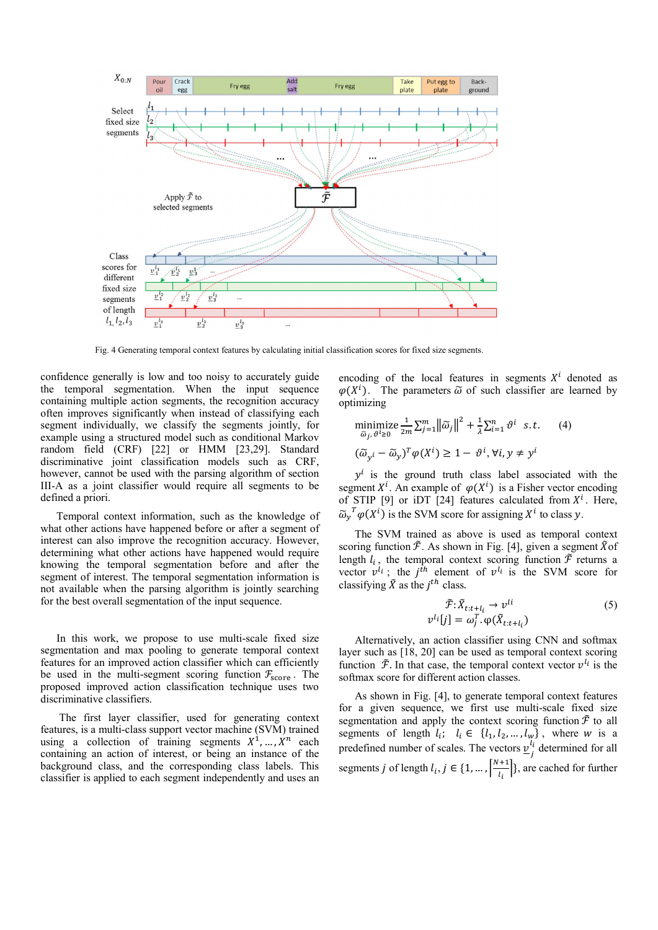

Fig. 4 Generating temporal context features by calculating initial classification scores for fixed size segments.

confidence generally is low and too noisy to accurately guide the temporal segmentation. When the input sequence containing multiple action segments, the recognition accuracy often improves significantly when instead of classifying each segment individually, we classify the segments jointly, for example using a structured model such as conditional Markov random field (CRF) [22] or HMM [23,29]. Standard discriminative joint classification models such as CRF, however, cannot be used with the parsing algorithm of section III-A as a joint classifier would require all segments to be defined a priori.

Temporal context information, such as the knowledge of what other actions have happened before or after a segment of interest can also improve the recognition accuracy. However, determining what other actions have happened would require knowing the temporal segmentation before and after the segment of interest. The temporal segmentation information is not available when the parsing algorithm is jointly searching for the best overall segmentation of the input sequence.

In this work, we propose to use multi-scale fixed size segmentation and max pooling to generate temporal context features for an improved action classifier which can efficiently be used in the multi-segment scoring function  $\mathcal{F}_{score}$ . The proposed improved action classification technique uses two discriminative classifiers.

 The first layer classifier, used for generating context features, is a multi-class support vector machine (SVM) trained using a collection of training segments  $X^1, \ldots, X^n$  each containing an action of interest, or being an instance of the background class, and the corresponding class labels. This classifier is applied to each segment independently and uses an

encoding of the local features in segments  $X<sup>i</sup>$  denoted as  $\varphi(X^i)$ . The parameters  $\tilde{\omega}$  of such classifier are learned by optimizing

$$
\underset{\tilde{\omega}_{j}}{\text{minimize}} \frac{1}{2m} \sum_{j=1}^{m} \left\| \tilde{\omega}_{j} \right\|^{2} + \frac{1}{\lambda} \sum_{i=1}^{n} \vartheta^{i} \text{ s.t.} \qquad (4)
$$
  

$$
(\tilde{\omega}_{y^{i}} - \tilde{\omega}_{y})^{T} \varphi(X^{i}) \ge 1 - \vartheta^{i}, \forall i, y \ne y^{i}
$$

 $y^i$  is the ground truth class label associated with the segment  $X^i$ . An example of  $\varphi(X^i)$  is a Fisher vector encoding of STIP [9] or iDT [24] features calculated from  $X^i$ . Here,  $\tilde{\omega}_y^T \varphi(X^i)$  is the SVM score for assigning  $X^i$  to class y.

The SVM trained as above is used as temporal context scoring function  $\tilde{\mathcal{F}}$ . As shown in Fig. [4], given a segment  $\tilde{X}$ of length  $l_i$ , the temporal context scoring function  $\tilde{\mathcal{F}}$  returns a vector  $v^{l_i}$ ; the  $j^{l_i}$  element of  $v^{l_i}$  is the SVM score for classifying  $\tilde{X}$  as the  $i^{th}$  class.

$$
\tilde{\mathcal{F}}: \tilde{X}_{t:t+l_i} \to \nu^{li} \tag{5}
$$
\n
$$
\nu^{l_i}[j] = \omega_j^T \cdot \varphi(\tilde{X}_{t:t+l_i})
$$

Alternatively, an action classifier using CNN and softmax layer such as [18, 20] can be used as temporal context scoring function  $\tilde{\mathcal{F}}$ . In that case, the temporal context vector  $v^{l_i}$  is the softmax score for different action classes.

As shown in Fig. [4], to generate temporal context features for a given sequence, we first use multi-scale fixed size segmentation and apply the context scoring function  $\tilde{\mathcal{F}}$  to all segments of length  $l_i$ ;  $l_i \in \{l_1, l_2, ..., l_w\}$ , where w is a predefined number of scales. The vectors  $\underline{v}_{j}^{l_i}$  determined for all segments *j* of length  $l_i$ ,  $j \in \{1, ..., \left[\frac{N+1}{l_i}\right]\}$ , are cached for further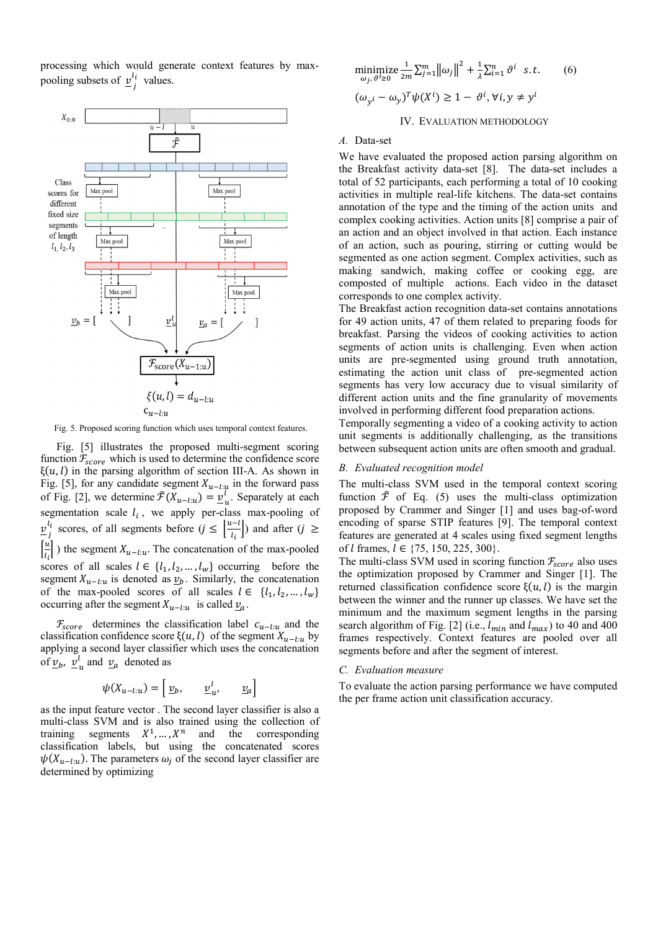processing which would generate context features by maxpooling subsets of  $\underline{v}_j^{l_i}$  values.



Fig. 5. Proposed scoring function which uses temporal context features.

Fig. [5] illustrates the proposed multi-segment scoring function  $\mathcal{F}_{score}$  which is used to determine the confidence score  $\xi(u, l)$  in the parsing algorithm of section III-A. As shown in Fig. [5], for any candidate segment  $X_{u-l:u}$  in the forward pass of Fig. [2], we determine  $\tilde{\mathcal{F}}(X_{u-l:u}) = \underline{v}_u^l$ . Separately at each segmentation scale  $l_i$ , we apply per-class max-pooling of  $\underline{v}^{l_i}$  scores, of all segments before  $(j \leq \left\lfloor \frac{u-l}{l_i} \right\rfloor)$  and after  $(j \geq$  $\left[\frac{u}{u}\right]$  $\frac{u}{l_i}$ ) the segment  $X_{u-l:u}$ . The concatenation of the max-pooled scores of all scales  $l \in \{l_1, l_2, ..., l_w\}$  occurring before the segment  $X_{u-1,u}$  is denoted as  $v<sub>b</sub>$ . Similarly, the concatenation of the max-pooled scores of all scales  $l \in \{l_1, l_2, ..., l_w\}$ occurring after the segment  $X_{u-l:u}$  is called  $v_a$ .

 $\mathcal{F}_{score}$  determines the classification label  $c_{u-1,u}$  and the classification confidence score  $\xi(u, l)$  of the segment  $X_{u-l,u}$  by applying a second layer classifier which uses the concatenation of  $\underline{v}_b$ ,  $\underline{v}_u^l$  and  $\underline{v}_a$  denoted as

$$
\psi(X_{u-l:u}) = \begin{bmatrix} \underline{v}_b, & \underline{v}_u^l, & \underline{v}_a \end{bmatrix}
$$

as the input feature vector . The second layer classifier is also a multi-class SVM and is also trained using the collection of training segments  $X^1, ..., X^n$  and the corresponding classification labels, but using the concatenated scores  $\psi(X_{u-l}, u)$ . The parameters  $\omega_i$  of the second layer classifier are determined by optimizing

$$
\underset{\omega_j, \vartheta' \ge 0}{\text{minimize}} \frac{1}{2m} \sum_{j=1}^m \left\| \omega_j \right\|^2 + \frac{1}{\lambda} \sum_{i=1}^n \vartheta^i \quad s.t. \quad (6)
$$
\n
$$
(\omega_{\mathcal{Y}^i} - \omega_{\mathcal{Y}})^T \psi(X^i) \ge 1 - \vartheta^i, \forall i, \mathcal{Y} \ne \mathcal{Y}^i
$$

# IV. EVALUATION METHODOLOGY

*A.* Data-set

We have evaluated the proposed action parsing algorithm on the Breakfast activity data-set [8]. The data-set includes a total of 52 participants, each performing a total of 10 cooking activities in multiple real-life kitchens. The data-set contains annotation of the type and the timing of the action units and complex cooking activities. Action units [8] comprise a pair of an action and an object involved in that action. Each instance of an action, such as pouring, stirring or cutting would be segmented as one action segment. Complex activities, such as making sandwich, making coffee or cooking egg, are composted of multiple actions. Each video in the dataset corresponds to one complex activity.

The Breakfast action recognition data-set contains annotations for 49 action units, 47 of them related to preparing foods for breakfast. Parsing the videos of cooking activities to action segments of action units is challenging. Even when action units are pre-segmented using ground truth annotation, estimating the action unit class of pre-segmented action segments has very low accuracy due to visual similarity of different action units and the fine granularity of movements involved in performing different food preparation actions.

Temporally segmenting a video of a cooking activity to action unit segments is additionally challenging, as the transitions between subsequent action units are often smooth and gradual.

# *B. Evaluated recognition model*

The multi-class SVM used in the temporal context scoring function  $\tilde{\mathcal{F}}$  of Eq. (5) uses the multi-class optimization proposed by Crammer and Singer [1] and uses bag-of-word encoding of sparse STIP features [9]. The temporal context features are generated at 4 scales using fixed segment lengths of *l* frames,  $l \in \{75, 150, 225, 300\}.$ 

The multi-class SVM used in scoring function  $\mathcal{F}_{score}$  also uses the optimization proposed by Crammer and Singer [1]. The returned classification confidence score ξ $(u, l)$  is the margin between the winner and the runner up classes. We have set the minimum and the maximum segment lengths in the parsing search algorithm of Fig. [2] (i.e.,  $l_{min}$  and  $l_{max}$ ) to 40 and 400 frames respectively. Context features are pooled over all segments before and after the segment of interest.

#### *C. Evaluation measure*

To evaluate the action parsing performance we have computed the per frame action unit classification accuracy.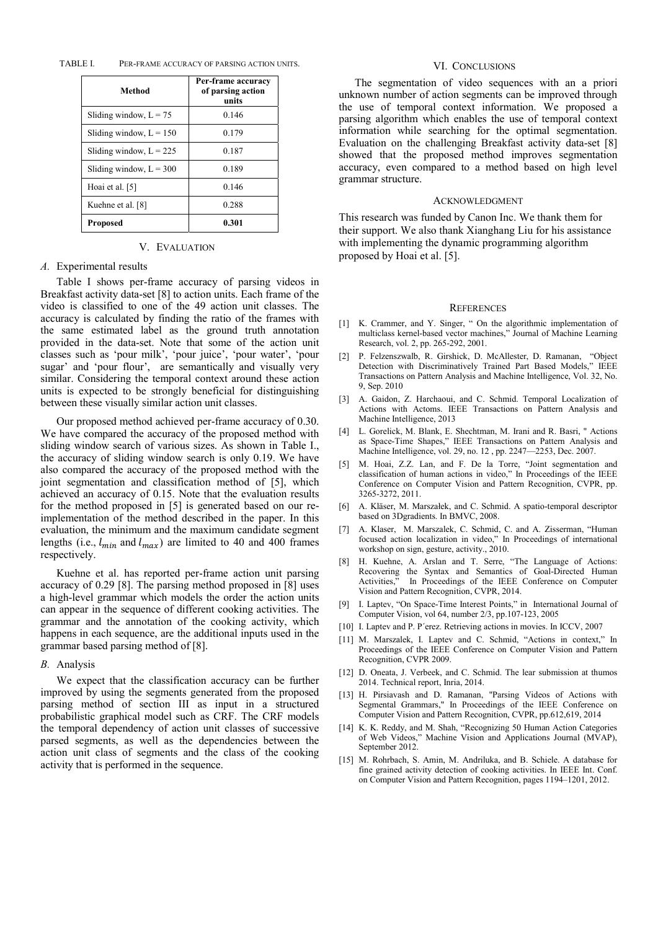#### TABLE I. PER-FRAME ACCURACY OF PARSING ACTION UNITS.

| Method                    | Per-frame accuracy<br>of parsing action<br>units |
|---------------------------|--------------------------------------------------|
| Sliding window, $L = 75$  | 0.146                                            |
| Sliding window, $L = 150$ | 0.179                                            |
| Sliding window, $L = 225$ | 0.187                                            |
| Sliding window, $L = 300$ | 0.189                                            |
| Hoai et al. [5]           | 0.146                                            |
| Kuehne et al. [8]         | 0.288                                            |
| <b>Proposed</b>           | 0.301                                            |

#### V. EVALUATION

### *A.* Experimental results

Table I shows per-frame accuracy of parsing videos in Breakfast activity data-set [8] to action units. Each frame of the video is classified to one of the 49 action unit classes. The accuracy is calculated by finding the ratio of the frames with the same estimated label as the ground truth annotation provided in the data-set. Note that some of the action unit classes such as 'pour milk', 'pour juice', 'pour water', 'pour sugar' and 'pour flour', are semantically and visually very similar. Considering the temporal context around these action units is expected to be strongly beneficial for distinguishing between these visually similar action unit classes.

Our proposed method achieved per-frame accuracy of 0.30. We have compared the accuracy of the proposed method with sliding window search of various sizes. As shown in Table I., the accuracy of sliding window search is only 0.19. We have also compared the accuracy of the proposed method with the joint segmentation and classification method of [5], which achieved an accuracy of 0.15. Note that the evaluation results for the method proposed in [5] is generated based on our reimplementation of the method described in the paper. In this evaluation, the minimum and the maximum candidate segment lengths (i.e.,  $l_{min}$  and  $l_{max}$ ) are limited to 40 and 400 frames respectively.

Kuehne et al. has reported per-frame action unit parsing accuracy of 0.29 [8]. The parsing method proposed in [8] uses a high-level grammar which models the order the action units can appear in the sequence of different cooking activities. The grammar and the annotation of the cooking activity, which happens in each sequence, are the additional inputs used in the grammar based parsing method of [8].

# *B.* Analysis

We expect that the classification accuracy can be further improved by using the segments generated from the proposed parsing method of section III as input in a structured probabilistic graphical model such as CRF. The CRF models the temporal dependency of action unit classes of successive parsed segments, as well as the dependencies between the action unit class of segments and the class of the cooking activity that is performed in the sequence.

# VI. CONCLUSIONS

The segmentation of video sequences with an a priori unknown number of action segments can be improved through the use of temporal context information. We proposed a parsing algorithm which enables the use of temporal context information while searching for the optimal segmentation. Evaluation on the challenging Breakfast activity data-set [8] showed that the proposed method improves segmentation accuracy, even compared to a method based on high level grammar structure.

#### ACKNOWLEDGMENT

This research was funded by Canon Inc. We thank them for their support. We also thank Xianghang Liu for his assistance with implementing the dynamic programming algorithm proposed by Hoai et al. [5].

#### **REFERENCES**

- [1] K. Crammer, and Y. Singer, " On the algorithmic implementation of multiclass kernel-based vector machines," Journal of Machine Learning Research, vol. 2, pp. 265-292, 2001.
- [2] P. Felzenszwalb, R. Girshick, D. McAllester, D. Ramanan, "Object Detection with Discriminatively Trained Part Based Models," IEEE Transactions on Pattern Analysis and Machine Intelligence, Vol. 32, No. 9, Sep. 2010
- [3] A. Gaidon, Z. Harchaoui, and C. Schmid. Temporal Localization of Actions with Actoms. IEEE Transactions on Pattern Analysis and Machine Intelligence, 2013
- [4] L. Gorelick, M. Blank, E. Shechtman, M. Irani and R. Basri, " Actions as Space-Time Shapes," IEEE Transactions on Pattern Analysis and Machine Intelligence, vol. 29, no. 12 , pp. 2247—2253, Dec. 2007.
- [5] M. Hoai, Z.Z. Lan, and F. De la Torre, "Joint segmentation and classification of human actions in video," In Proceedings of the IEEE Conference on Computer Vision and Pattern Recognition, CVPR, pp. 3265-3272, 2011.
- [6] A. Kläser, M. Marszałek, and C. Schmid. A spatio-temporal descriptor based on 3Dgradients. In BMVC, 2008.
- [7] A. Klaser, M. Marszalek, C. Schmid, C. and A. Zisserman, "Human focused action localization in video," In Proceedings of international workshop on sign, gesture, activity., 2010.
- [8] H. Kuehne, A. Arslan and T. Serre, "The Language of Actions: Recovering the Syntax and Semantics of Goal-Directed Human Activities," In Proceedings of the IEEE Conference on Computer Vision and Pattern Recognition, CVPR, 2014.
- [9] I. Laptev, "On Space-Time Interest Points," in International Journal of Computer Vision, vol 64, number 2/3, pp.107-123, 2005
- [10] I. Laptev and P. P´erez. Retrieving actions in movies. In ICCV, 2007
- [11] M. Marszalek, I. Laptev and C. Schmid, "Actions in context," In Proceedings of the IEEE Conference on Computer Vision and Pattern Recognition, CVPR 2009.
- [12] D. Oneata, J. Verbeek, and C. Schmid. The lear submission at thumos 2014. Technical report, Inria, 2014.
- [13] H. Pirsiavash and D. Ramanan, "Parsing Videos of Actions with Segmental Grammars," In Proceedings of the IEEE Conference on Computer Vision and Pattern Recognition, CVPR, pp.612,619, 2014
- [14] K. K. Reddy, and M. Shah, "Recognizing 50 Human Action Categories of Web Videos," Machine Vision and Applications Journal (MVAP), September 2012.
- [15] M. Rohrbach, S. Amin, M. Andriluka, and B. Schiele. A database for fine grained activity detection of cooking activities. In IEEE Int. Conf. on Computer Vision and Pattern Recognition, pages 1194–1201, 2012.